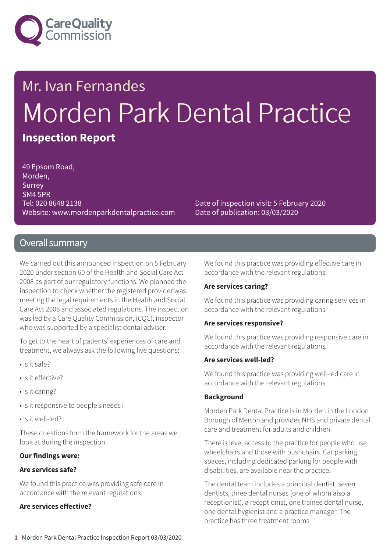

# Mr. Ivan Fernandes Morden Park Dental Practice **Inspection Report**

49 Epsom Road, Morden, **Surrey** SM4 5PR Tel: 020 8648 2138 Website: www.mordenparkdentalpractice.com

Date of inspection visit: 5 February 2020 Date of publication: 03/03/2020

#### Overall summary

We carried out this announced inspection on 5 February 2020 under section 60 of the Health and Social Care Act 2008 as part of our regulatory functions. We planned the inspection to check whether the registered provider was meeting the legal requirements in the Health and Social Care Act 2008 and associated regulations. The inspection was led by a Care Quality Commission, (CQC), inspector who was supported by a specialist dental adviser.

To get to the heart of patients' experiences of care and treatment, we always ask the following five questions:

- Is it safe?
- Is it effective?
- Is it caring?
- Is it responsive to people's needs?
- Is it well-led?

These questions form the framework for the areas we look at during the inspection.

#### **Our findings were:**

#### **Are services safe?**

We found this practice was providing safe care in accordance with the relevant regulations.

#### **Are services effective?**

We found this practice was providing effective care in accordance with the relevant regulations.

#### **Are services caring?**

We found this practice was providing caring services in accordance with the relevant regulations.

#### **Are services responsive?**

We found this practice was providing responsive care in accordance with the relevant regulations.

#### **Are services well-led?**

We found this practice was providing well-led care in accordance with the relevant regulations.

#### **Background**

Morden Park Dental Practice is in Morden in the London Borough of Merton and provides NHS and private dental care and treatment for adults and children.

There is level access to the practice for people who use wheelchairs and those with pushchairs. Car parking spaces, including dedicated parking for people with disabilities, are available near the practice.

The dental team includes a principal dentist, seven dentists, three dental nurses (one of whom also a receptionist), a receptionist, one trainee dental nurse, one dental hygienist and a practice manager. The practice has three treatment rooms.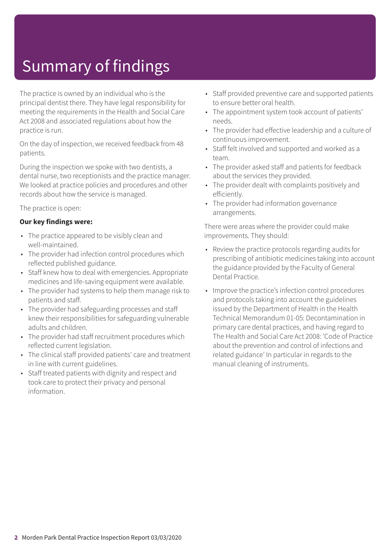# Summary of findings

The practice is owned by an individual who is the principal dentist there. They have legal responsibility for meeting the requirements in the Health and Social Care Act 2008 and associated regulations about how the practice is run.

On the day of inspection, we received feedback from 48 patients.

During the inspection we spoke with two dentists, a dental nurse, two receptionists and the practice manager. We looked at practice policies and procedures and other records about how the service is managed.

The practice is open:

#### **Our key findings were:**

- The practice appeared to be visibly clean and well-maintained.
- The provider had infection control procedures which reflected published guidance.
- Staff knew how to deal with emergencies. Appropriate medicines and life-saving equipment were available.
- The provider had systems to help them manage risk to patients and staff.
- The provider had safeguarding processes and staff knew their responsibilities for safeguarding vulnerable adults and children.
- The provider had staff recruitment procedures which reflected current legislation.
- The clinical staff provided patients' care and treatment in line with current guidelines.
- Staff treated patients with dignity and respect and took care to protect their privacy and personal information.
- Staff provided preventive care and supported patients to ensure better oral health.
- The appointment system took account of patients' needs.
- The provider had effective leadership and a culture of continuous improvement.
- Staff felt involved and supported and worked as a team.
- The provider asked staff and patients for feedback about the services they provided.
- The provider dealt with complaints positively and efficiently.
- The provider had information governance arrangements.

There were areas where the provider could make improvements. They should:

- Review the practice protocols regarding audits for prescribing of antibiotic medicines taking into account the guidance provided by the Faculty of General Dental Practice.
- Improve the practice's infection control procedures and protocols taking into account the guidelines issued by the Department of Health in the Health Technical Memorandum 01-05: Decontamination in primary care dental practices, and having regard to The Health and Social Care Act 2008: 'Code of Practice about the prevention and control of infections and related guidance' In particular in regards to the manual cleaning of instruments.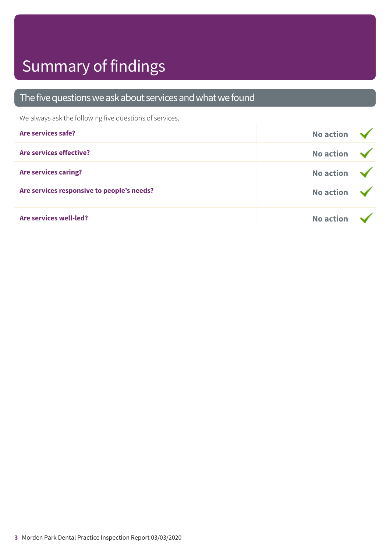# Summary of findings

#### The five questions we ask about services and what we found

We always ask the following five questions of services.

| Are services safe?                         | <b>No action</b>        |  |
|--------------------------------------------|-------------------------|--|
| Are services effective?                    | No action $\sqrt{}$     |  |
| <b>Are services caring?</b>                | No action $\rightarrow$ |  |
| Are services responsive to people's needs? | No action $\sqrt{}$     |  |
| <b>Are services well-led?</b>              | <b>No action</b>        |  |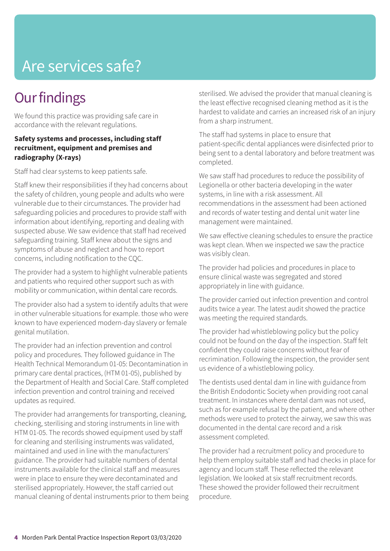# Are services safe?

# **Our findings**

We found this practice was providing safe care in accordance with the relevant regulations.

#### **Safety systems and processes, including staff recruitment, equipment and premises and radiography (X-rays)**

Staff had clear systems to keep patients safe.

Staff knew their responsibilities if they had concerns about the safety of children, young people and adults who were vulnerable due to their circumstances. The provider had safeguarding policies and procedures to provide staff with information about identifying, reporting and dealing with suspected abuse. We saw evidence that staff had received safeguarding training. Staff knew about the signs and symptoms of abuse and neglect and how to report concerns, including notification to the CQC.

The provider had a system to highlight vulnerable patients and patients who required other support such as with mobility or communication, within dental care records.

The provider also had a system to identify adults that were in other vulnerable situations for example. those who were known to have experienced modern-day slavery or female genital mutilation.

The provider had an infection prevention and control policy and procedures. They followed guidance in The Health Technical Memorandum 01-05: Decontamination in primary care dental practices, (HTM 01-05), published by the Department of Health and Social Care. Staff completed infection prevention and control training and received updates as required.

The provider had arrangements for transporting, cleaning, checking, sterilising and storing instruments in line with HTM 01-05. The records showed equipment used by staff for cleaning and sterilising instruments was validated, maintained and used in line with the manufacturers' guidance. The provider had suitable numbers of dental instruments available for the clinical staff and measures were in place to ensure they were decontaminated and sterilised appropriately. However, the staff carried out manual cleaning of dental instruments prior to them being sterilised. We advised the provider that manual cleaning is the least effective recognised cleaning method as it is the hardest to validate and carries an increased risk of an injury from a sharp instrument.

The staff had systems in place to ensure that patient-specific dental appliances were disinfected prior to being sent to a dental laboratory and before treatment was completed.

We saw staff had procedures to reduce the possibility of Legionella or other bacteria developing in the water systems, in line with a risk assessment. All recommendations in the assessment had been actioned and records of water testing and dental unit water line management were maintained.

We saw effective cleaning schedules to ensure the practice was kept clean. When we inspected we saw the practice was visibly clean.

The provider had policies and procedures in place to ensure clinical waste was segregated and stored appropriately in line with guidance.

The provider carried out infection prevention and control audits twice a year. The latest audit showed the practice was meeting the required standards.

The provider had whistleblowing policy but the policy could not be found on the day of the inspection. Staff felt confident they could raise concerns without fear of recrimination. Following the inspection, the provider sent us evidence of a whistleblowing policy.

The dentists used dental dam in line with guidance from the British Endodontic Society when providing root canal treatment. In instances where dental dam was not used, such as for example refusal by the patient, and where other methods were used to protect the airway, we saw this was documented in the dental care record and a risk assessment completed.

The provider had a recruitment policy and procedure to help them employ suitable staff and had checks in place for agency and locum staff. These reflected the relevant legislation. We looked at six staff recruitment records. These showed the provider followed their recruitment procedure.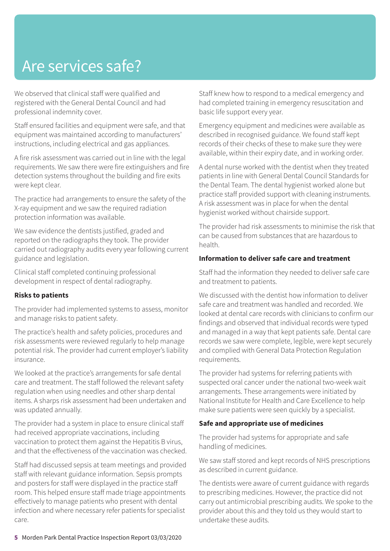# Are services safe?

We observed that clinical staff were qualified and registered with the General Dental Council and had professional indemnity cover.

Staff ensured facilities and equipment were safe, and that equipment was maintained according to manufacturers' instructions, including electrical and gas appliances.

A fire risk assessment was carried out in line with the legal requirements. We saw there were fire extinguishers and fire detection systems throughout the building and fire exits were kept clear.

The practice had arrangements to ensure the safety of the X-ray equipment and we saw the required radiation protection information was available.

We saw evidence the dentists justified, graded and reported on the radiographs they took. The provider carried out radiography audits every year following current guidance and legislation.

Clinical staff completed continuing professional development in respect of dental radiography.

#### **Risks to patients**

The provider had implemented systems to assess, monitor and manage risks to patient safety.

The practice's health and safety policies, procedures and risk assessments were reviewed regularly to help manage potential risk. The provider had current employer's liability insurance.

We looked at the practice's arrangements for safe dental care and treatment. The staff followed the relevant safety regulation when using needles and other sharp dental items. A sharps risk assessment had been undertaken and was updated annually.

The provider had a system in place to ensure clinical staff had received appropriate vaccinations, including vaccination to protect them against the Hepatitis B virus, and that the effectiveness of the vaccination was checked.

Staff had discussed sepsis at team meetings and provided staff with relevant guidance information. Sepsis prompts and posters for staff were displayed in the practice staff room. This helped ensure staff made triage appointments effectively to manage patients who present with dental infection and where necessary refer patients for specialist care.

Staff knew how to respond to a medical emergency and had completed training in emergency resuscitation and basic life support every year.

Emergency equipment and medicines were available as described in recognised guidance. We found staff kept records of their checks of these to make sure they were available, within their expiry date, and in working order.

A dental nurse worked with the dentist when they treated patients in line with General Dental Council Standards for the Dental Team. The dental hygienist worked alone but practice staff provided support with cleaning instruments. A risk assessment was in place for when the dental hygienist worked without chairside support.

The provider had risk assessments to minimise the risk that can be caused from substances that are hazardous to health.

#### **Information to deliver safe care and treatment**

Staff had the information they needed to deliver safe care and treatment to patients.

We discussed with the dentist how information to deliver safe care and treatment was handled and recorded. We looked at dental care records with clinicians to confirm our findings and observed that individual records were typed and managed in a way that kept patients safe. Dental care records we saw were complete, legible, were kept securely and complied with General Data Protection Regulation requirements.

The provider had systems for referring patients with suspected oral cancer under the national two-week wait arrangements. These arrangements were initiated by National Institute for Health and Care Excellence to help make sure patients were seen quickly by a specialist.

#### **Safe and appropriate use of medicines**

The provider had systems for appropriate and safe handling of medicines.

We saw staff stored and kept records of NHS prescriptions as described in current guidance.

The dentists were aware of current guidance with regards to prescribing medicines. However, the practice did not carry out antimicrobial prescribing audits. We spoke to the provider about this and they told us they would start to undertake these audits.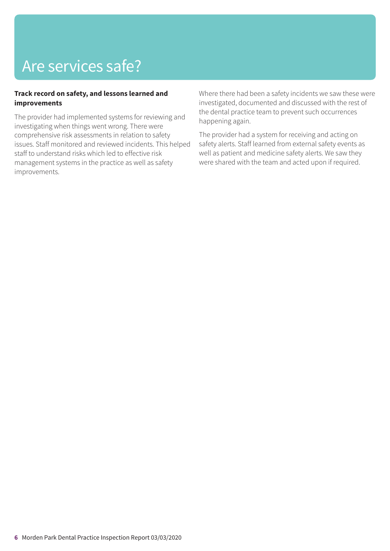# Are services safe?

#### **Track record on safety, and lessons learned and improvements**

The provider had implemented systems for reviewing and investigating when things went wrong. There were comprehensive risk assessments in relation to safety issues. Staff monitored and reviewed incidents. This helped staff to understand risks which led to effective risk management systems in the practice as well as safety improvements.

Where there had been a safety incidents we saw these were investigated, documented and discussed with the rest of the dental practice team to prevent such occurrences happening again.

The provider had a system for receiving and acting on safety alerts. Staff learned from external safety events as well as patient and medicine safety alerts. We saw they were shared with the team and acted upon if required.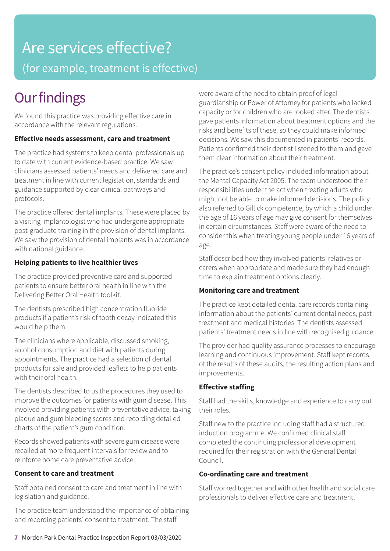### Are services effective? (for example, treatment is effective)

### **Our findings**

We found this practice was providing effective care in accordance with the relevant regulations.

#### **Effective needs assessment, care and treatment**

The practice had systems to keep dental professionals up to date with current evidence-based practice. We saw clinicians assessed patients' needs and delivered care and treatment in line with current legislation, standards and guidance supported by clear clinical pathways and protocols.

The practice offered dental implants. These were placed by a visiting implantologist who had undergone appropriate post-graduate training in the provision of dental implants. We saw the provision of dental implants was in accordance with national guidance.

#### **Helping patients to live healthier lives**

The practice provided preventive care and supported patients to ensure better oral health in line with the Delivering Better Oral Health toolkit.

The dentists prescribed high concentration fluoride products if a patient's risk of tooth decay indicated this would help them.

The clinicians where applicable, discussed smoking, alcohol consumption and diet with patients during appointments. The practice had a selection of dental products for sale and provided leaflets to help patients with their oral health.

The dentists described to us the procedures they used to improve the outcomes for patients with gum disease. This involved providing patients with preventative advice, taking plaque and gum bleeding scores and recording detailed charts of the patient's gum condition.

Records showed patients with severe gum disease were recalled at more frequent intervals for review and to reinforce home care preventative advice.

#### **Consent to care and treatment**

Staff obtained consent to care and treatment in line with legislation and guidance.

The practice team understood the importance of obtaining and recording patients' consent to treatment. The staff

were aware of the need to obtain proof of legal guardianship or Power of Attorney for patients who lacked capacity or for children who are looked after. The dentists gave patients information about treatment options and the risks and benefits of these, so they could make informed decisions. We saw this documented in patients' records. Patients confirmed their dentist listened to them and gave them clear information about their treatment.

The practice's consent policy included information about the Mental Capacity Act 2005. The team understood their responsibilities under the act when treating adults who might not be able to make informed decisions. The policy also referred to Gillick competence, by which a child under the age of 16 years of age may give consent for themselves in certain circumstances. Staff were aware of the need to consider this when treating young people under 16 years of age.

Staff described how they involved patients' relatives or carers when appropriate and made sure they had enough time to explain treatment options clearly.

#### **Monitoring care and treatment**

The practice kept detailed dental care records containing information about the patients' current dental needs, past treatment and medical histories. The dentists assessed patients' treatment needs in line with recognised guidance.

The provider had quality assurance processes to encourage learning and continuous improvement. Staff kept records of the results of these audits, the resulting action plans and improvements.

#### **Effective staffing**

Staff had the skills, knowledge and experience to carry out their roles.

Staff new to the practice including staff had a structured induction programme. We confirmed clinical staff completed the continuing professional development required for their registration with the General Dental Council.

#### **Co-ordinating care and treatment**

Staff worked together and with other health and social care professionals to deliver effective care and treatment.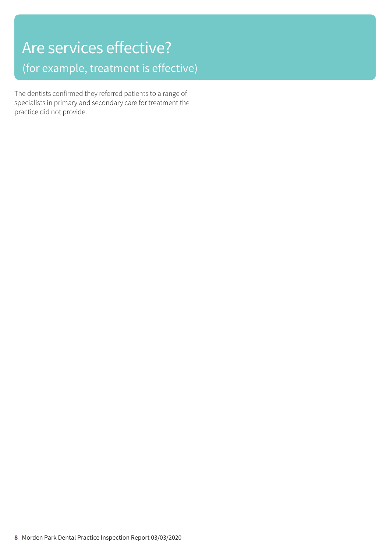# Are services effective? (for example, treatment is effective)

The dentists confirmed they referred patients to a range of specialists in primary and secondary care for treatment the practice did not provide.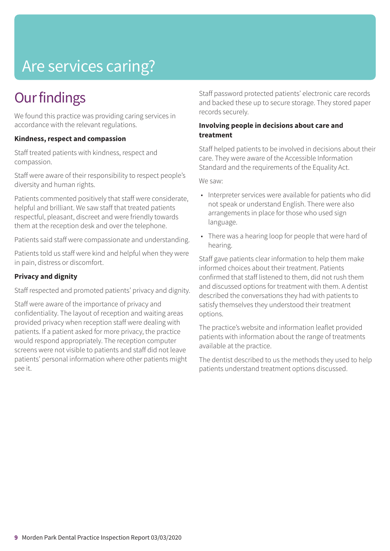# Are services caring?

## **Our findings**

We found this practice was providing caring services in accordance with the relevant regulations.

#### **Kindness, respect and compassion**

Staff treated patients with kindness, respect and compassion.

Staff were aware of their responsibility to respect people's diversity and human rights.

Patients commented positively that staff were considerate, helpful and brilliant. We saw staff that treated patients respectful, pleasant, discreet and were friendly towards them at the reception desk and over the telephone.

Patients said staff were compassionate and understanding.

Patients told us staff were kind and helpful when they were in pain, distress or discomfort.

#### **Privacy and dignity**

Staff respected and promoted patients' privacy and dignity.

Staff were aware of the importance of privacy and confidentiality. The layout of reception and waiting areas provided privacy when reception staff were dealing with patients. If a patient asked for more privacy, the practice would respond appropriately. The reception computer screens were not visible to patients and staff did not leave patients' personal information where other patients might see it.

Staff password protected patients' electronic care records and backed these up to secure storage. They stored paper records securely.

#### **Involving people in decisions about care and treatment**

Staff helped patients to be involved in decisions about their care. They were aware of the Accessible Information Standard and the requirements of the Equality Act.

We saw:

- Interpreter services were available for patients who did not speak or understand English. There were also arrangements in place for those who used sign language.
- There was a hearing loop for people that were hard of hearing.

Staff gave patients clear information to help them make informed choices about their treatment. Patients confirmed that staff listened to them, did not rush them and discussed options for treatment with them. A dentist described the conversations they had with patients to satisfy themselves they understood their treatment options.

The practice's website and information leaflet provided patients with information about the range of treatments available at the practice.

The dentist described to us the methods they used to help patients understand treatment options discussed.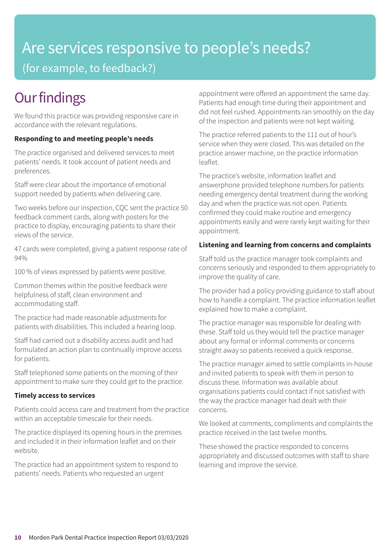# Are services responsive to people's needs?

(for example, to feedback?)

# **Our findings**

We found this practice was providing responsive care in accordance with the relevant regulations.

#### **Responding to and meeting people's needs**

The practice organised and delivered services to meet patients' needs. It took account of patient needs and preferences.

Staff were clear about the importance of emotional support needed by patients when delivering care.

Two weeks before our inspection, CQC sent the practice 50 feedback comment cards, along with posters for the practice to display, encouraging patients to share their views of the service.

47 cards were completed, giving a patient response rate of 94%

100 % of views expressed by patients were positive.

Common themes within the positive feedback were helpfulness of staff, clean environment and accommodating staff.

The practice had made reasonable adjustments for patients with disabilities. This included a hearing loop.

Staff had carried out a disability access audit and had formulated an action plan to continually improve access for patients.

Staff telephoned some patients on the morning of their appointment to make sure they could get to the practice.

#### **Timely access to services**

Patients could access care and treatment from the practice within an acceptable timescale for their needs.

The practice displayed its opening hours in the premises and included it in their information leaflet and on their website.

The practice had an appointment system to respond to patients' needs. Patients who requested an urgent

appointment were offered an appointment the same day. Patients had enough time during their appointment and did not feel rushed. Appointments ran smoothly on the day of the inspection and patients were not kept waiting.

The practice referred patients to the 111 out of hour's service when they were closed. This was detailed on the practice answer machine, on the practice information leaflet.

The practice's website, information leaflet and answerphone provided telephone numbers for patients needing emergency dental treatment during the working day and when the practice was not open. Patients confirmed they could make routine and emergency appointments easily and were rarely kept waiting for their appointment.

#### **Listening and learning from concerns and complaints**

Staff told us the practice manager took complaints and concerns seriously and responded to them appropriately to improve the quality of care.

The provider had a policy providing guidance to staff about how to handle a complaint. The practice information leaflet explained how to make a complaint.

The practice manager was responsible for dealing with these. Staff told us they would tell the practice manager about any formal or informal comments or concerns straight away so patients received a quick response.

The practice manager aimed to settle complaints in-house and invited patients to speak with them in person to discuss these. Information was available about organisations patients could contact if not satisfied with the way the practice manager had dealt with their concerns.

We looked at comments, compliments and complaints the practice received in the last twelve months.

These showed the practice responded to concerns appropriately and discussed outcomes with staff to share learning and improve the service.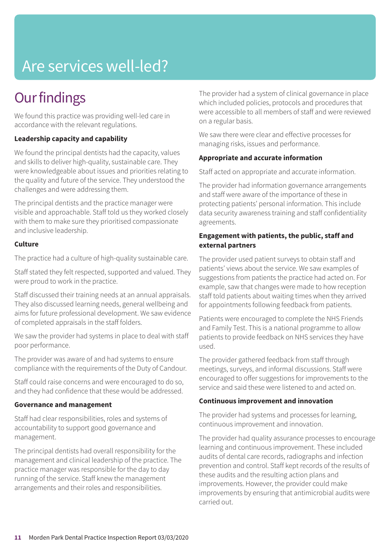# Are services well-led?

### **Our findings**

We found this practice was providing well-led care in accordance with the relevant regulations.

#### **Leadership capacity and capability**

We found the principal dentists had the capacity, values and skills to deliver high-quality, sustainable care. They were knowledgeable about issues and priorities relating to the quality and future of the service. They understood the challenges and were addressing them.

The principal dentists and the practice manager were visible and approachable. Staff told us they worked closely with them to make sure they prioritised compassionate and inclusive leadership.

#### **Culture**

The practice had a culture of high-quality sustainable care.

Staff stated they felt respected, supported and valued. They were proud to work in the practice.

Staff discussed their training needs at an annual appraisals. They also discussed learning needs, general wellbeing and aims for future professional development. We saw evidence of completed appraisals in the staff folders.

We saw the provider had systems in place to deal with staff poor performance.

The provider was aware of and had systems to ensure compliance with the requirements of the Duty of Candour.

Staff could raise concerns and were encouraged to do so, and they had confidence that these would be addressed.

#### **Governance and management**

Staff had clear responsibilities, roles and systems of accountability to support good governance and management.

The principal dentists had overall responsibility for the management and clinical leadership of the practice. The practice manager was responsible for the day to day running of the service. Staff knew the management arrangements and their roles and responsibilities.

The provider had a system of clinical governance in place which included policies, protocols and procedures that were accessible to all members of staff and were reviewed on a regular basis.

We saw there were clear and effective processes for managing risks, issues and performance.

#### **Appropriate and accurate information**

Staff acted on appropriate and accurate information.

The provider had information governance arrangements and staff were aware of the importance of these in protecting patients' personal information. This include data security awareness training and staff confidentiality agreements.

#### **Engagement with patients, the public, staff and external partners**

The provider used patient surveys to obtain staff and patients' views about the service. We saw examples of suggestions from patients the practice had acted on. For example, saw that changes were made to how reception staff told patients about waiting times when they arrived for appointments following feedback from patients.

Patients were encouraged to complete the NHS Friends and Family Test. This is a national programme to allow patients to provide feedback on NHS services they have used.

The provider gathered feedback from staff through meetings, surveys, and informal discussions. Staff were encouraged to offer suggestions for improvements to the service and said these were listened to and acted on.

#### **Continuous improvement and innovation**

The provider had systems and processes for learning, continuous improvement and innovation.

The provider had quality assurance processes to encourage learning and continuous improvement. These included audits of dental care records, radiographs and infection prevention and control. Staff kept records of the results of these audits and the resulting action plans and improvements. However, the provider could make improvements by ensuring that antimicrobial audits were carried out.